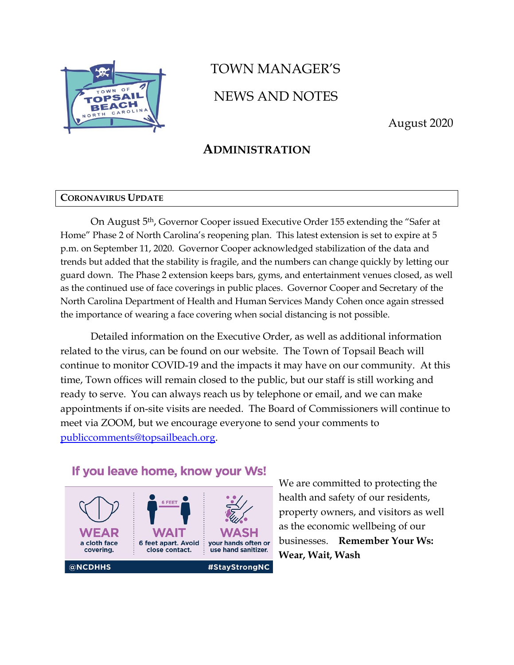

# TOWN MANAGER'S NEWS AND NOTES

August 2020

## **ADMINISTRATION**

#### **CORONAVIRUS UPDATE**

On August 5th, Governor Cooper issued Executive Order 155 extending the "Safer at Home" Phase 2 of North Carolina's reopening plan. This latest extension is set to expire at 5 p.m. on September 11, 2020. Governor Cooper acknowledged stabilization of the data and trends but added that the stability is fragile, and the numbers can change quickly by letting our guard down. The Phase 2 extension keeps bars, gyms, and entertainment venues closed, as well as the continued use of face coverings in public places. Governor Cooper and Secretary of the North Carolina Department of Health and Human Services Mandy Cohen once again stressed the importance of wearing a face covering when social distancing is not possible.

Detailed information on the Executive Order, as well as additional information related to the virus, can be found on our website. The Town of Topsail Beach will continue to monitor COVID-19 and the impacts it may have on our community. At this time, Town offices will remain closed to the public, but our staff is still working and ready to serve. You can always reach us by telephone or email, and we can make appointments if on-site visits are needed. The Board of Commissioners will continue to meet via ZOOM, but we encourage everyone to send your comments to [publiccomments@topsailbeach.org.](mailto:publiccomments@topsailbeach.org)

### If you leave home, know your Ws!



We are committed to protecting the health and safety of our residents, property owners, and visitors as well as the economic wellbeing of our businesses. **Remember Your Ws: Wear, Wait, Wash**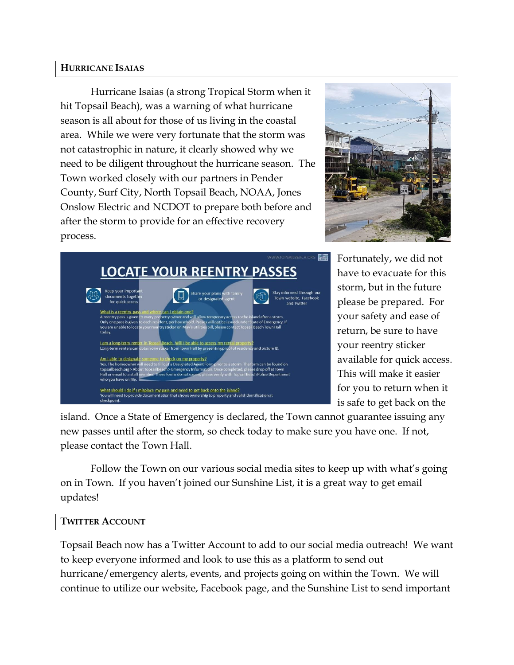#### **HURRICANE ISAIAS**

Hurricane Isaias (a strong Tropical Storm when it hit Topsail Beach), was a warning of what hurricane season is all about for those of us living in the coastal area. While we were very fortunate that the storm was not catastrophic in nature, it clearly showed why we need to be diligent throughout the hurricane season. The Town worked closely with our partners in Pender County, Surf City, North Topsail Beach, NOAA, Jones Onslow Electric and NCDOT to prepare both before and after the storm to provide for an effective recovery process.





Fortunately, we did not have to evacuate for this storm, but in the future please be prepared. For your safety and ease of return, be sure to have your reentry sticker available for quick access. This will make it easier for you to return when it is safe to get back on the

island. Once a State of Emergency is declared, the Town cannot guarantee issuing any new passes until after the storm, so check today to make sure you have one. If not, please contact the Town Hall.

Follow the Town on our various social media sites to keep up with what's going on in Town. If you haven't joined our Sunshine List, it is a great way to get email updates!

#### **TWITTER ACCOUNT**

Topsail Beach now has a Twitter Account to add to our social media outreach! We want to keep everyone informed and look to use this as a platform to send out hurricane/emergency alerts, events, and projects going on within the Town. We will continue to utilize our website, Facebook page, and the Sunshine List to send important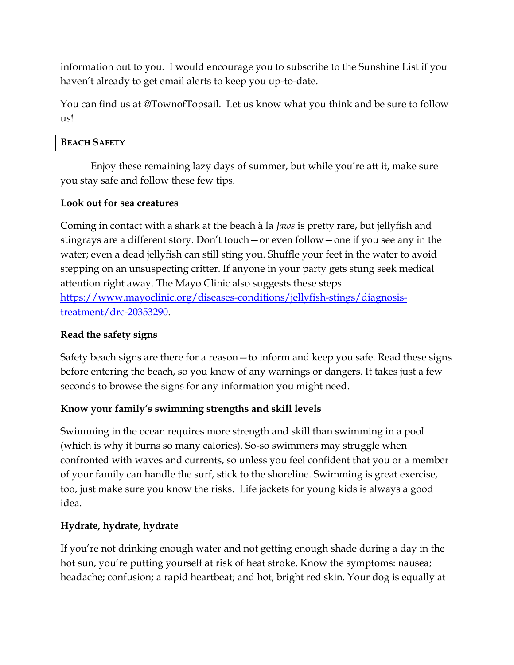information out to you. I would encourage you to subscribe to the Sunshine List if you haven't already to get email alerts to keep you up-to-date.

You can find us at @TownofTopsail. Let us know what you think and be sure to follow us!

#### **BEACH SAFETY**

Enjoy these remaining lazy days of summer, but while you're att it, make sure you stay safe and follow these few tips.

#### **Look out for sea creatures**

Coming in contact with a shark at the beach à la *Jaws* is pretty rare, but jellyfish and stingrays are a different story. Don't touch—or even follow—one if you see any in the water; even a dead jellyfish can still sting you. Shuffle your feet in the water to avoid stepping on an unsuspecting critter. If anyone in your party gets stung seek medical attention right away. The Mayo Clinic also suggests these steps [https://www.mayoclinic.org/diseases-conditions/jellyfish-stings/diagnosis](https://www.mayoclinic.org/diseases-conditions/jellyfish-stings/diagnosis-treatment/drc-20353290)[treatment/drc-20353290.](https://www.mayoclinic.org/diseases-conditions/jellyfish-stings/diagnosis-treatment/drc-20353290)

#### **Read the safety signs**

Safety beach signs are there for a reason—to inform and keep you safe. Read these signs before entering the beach, so you know of any warnings or dangers. It takes just a few seconds to browse the signs for any information you might need.

#### **Know your family's swimming strengths and skill levels**

Swimming in the ocean requires more strength and skill than swimming in a pool (which is why it burns so many calories). So-so swimmers may struggle when confronted with waves and currents, so unless you feel confident that you or a member of your family can handle the surf, stick to the shoreline. Swimming is great exercise, too, just make sure you know the risks. Life jackets for young kids is always a good idea.

#### **Hydrate, hydrate, hydrate**

If you're not drinking enough water and not getting enough shade during a day in the hot sun, you're putting yourself at risk of heat stroke. Know the symptoms: nausea; headache; confusion; a rapid heartbeat; and hot, bright red skin. Your dog is equally at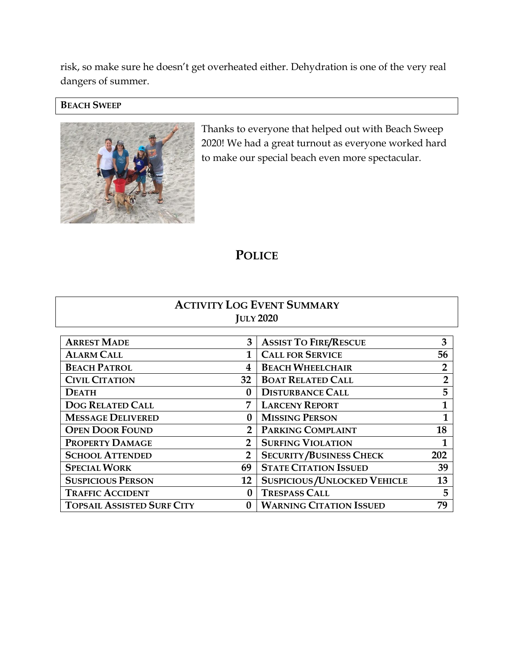risk, so make sure he doesn't get overheated either. Dehydration is one of the very real dangers of summer.

#### **BEACH SWEEP**



Thanks to everyone that helped out with Beach Sweep 2020! We had a great turnout as everyone worked hard to make our special beach even more spectacular.

## **POLICE**

#### **ACTIVITY LOG EVENT SUMMARY JULY 2020**

| <b>ARREST MADE</b>                | 3             | <b>ASSIST TO FIRE/RESCUE</b>         | 3              |
|-----------------------------------|---------------|--------------------------------------|----------------|
| <b>ALARM CALL</b>                 |               | <b>CALL FOR SERVICE</b>              | 56             |
| <b>BEACH PATROL</b>               | 4             | <b>BEACH WHEELCHAIR</b>              | $\overline{2}$ |
| <b>CIVIL CITATION</b>             | 32            | <b>BOAT RELATED CALL</b>             | 2              |
| <b>DEATH</b>                      |               | <b>DISTURBANCE CALL</b>              | 5              |
| <b>DOG RELATED CALL</b>           | 7             | <b>LARCENY REPORT</b>                | 1              |
| <b>MESSAGE DELIVERED</b>          | $\mathbf{0}$  | <b>MISSING PERSON</b>                |                |
| <b>OPEN DOOR FOUND</b>            | $\mathbf{2}$  | PARKING COMPLAINT                    | 18             |
| PROPERTY DAMAGE                   | $\mathcal{P}$ | <b>SURFING VIOLATION</b>             |                |
| <b>SCHOOL ATTENDED</b>            | 2             | <b>SECURITY/BUSINESS CHECK</b>       | 202            |
| <b>SPECIAL WORK</b>               | 69            | <b>STATE CITATION ISSUED</b>         | 39             |
| <b>SUSPICIOUS PERSON</b>          | 12            | <b>SUSPICIOUS / UNLOCKED VEHICLE</b> | 13             |
| <b>TRAFFIC ACCIDENT</b>           |               | <b>TRESPASS CALL</b>                 | 5              |
| <b>TOPSAIL ASSISTED SURF CITY</b> |               | <b>WARNING CITATION ISSUED</b>       | 79             |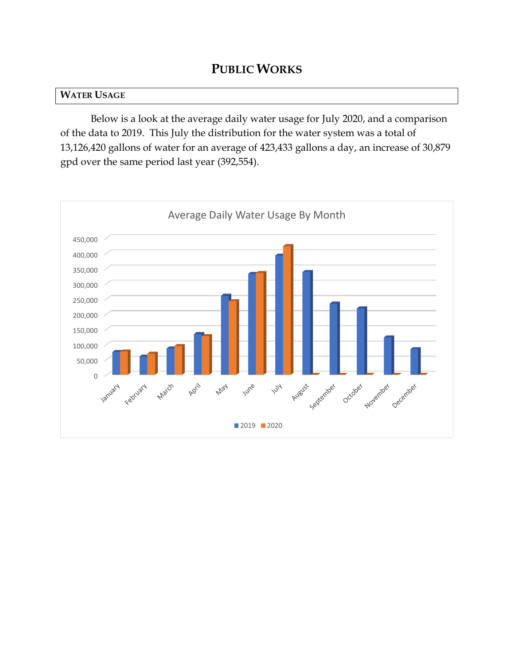## **PUBLIC WORKS**

#### **WATER USAGE**

Below is a look at the average daily water usage for July 2020, and a comparison of the data to 2019. This July the distribution for the water system was a total of 13,126,420 gallons of water for an average of 423,433 gallons a day, an increase of 30,879 gpd over the same period last year (392,554).

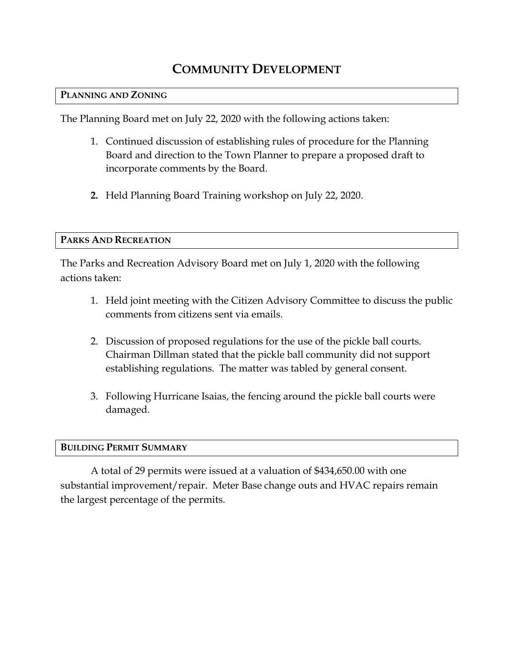# **COMMUNITY DEVELOPMENT**

#### **PLANNING AND ZONING**

The Planning Board met on July 22, 2020 with the following actions taken:

- 1. Continued discussion of establishing rules of procedure for the Planning Board and direction to the Town Planner to prepare a proposed draft to incorporate comments by the Board.
- **2.** Held Planning Board Training workshop on July 22, 2020.

#### **PARKS AND RECREATION**

The Parks and Recreation Advisory Board met on July 1, 2020 with the following actions taken:

- 1. Held joint meeting with the Citizen Advisory Committee to discuss the public comments from citizens sent via emails.
- 2. Discussion of proposed regulations for the use of the pickle ball courts. Chairman Dillman stated that the pickle ball community did not support establishing regulations. The matter was tabled by general consent.
- 3. Following Hurricane Isaias, the fencing around the pickle ball courts were damaged.

#### **BUILDING PERMIT SUMMARY**

A total of 29 permits were issued at a valuation of \$434,650.00 with one substantial improvement/repair. Meter Base change outs and HVAC repairs remain the largest percentage of the permits.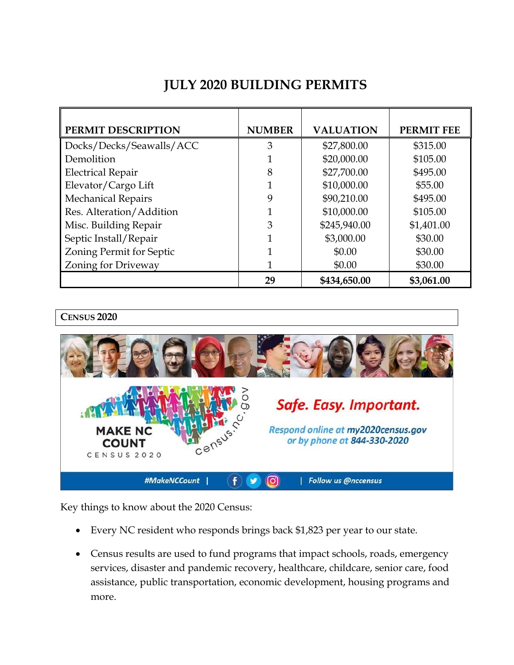# **JULY 2020 BUILDING PERMITS**

| PERMIT DESCRIPTION        | <b>NUMBER</b> | <b>VALUATION</b> | <b>PERMIT FEE</b> |
|---------------------------|---------------|------------------|-------------------|
| Docks/Decks/Seawalls/ACC  | 3             | \$27,800.00      | \$315.00          |
| Demolition                |               | \$20,000.00      | \$105.00          |
| <b>Electrical Repair</b>  | 8             | \$27,700.00      | \$495.00          |
| Elevator/Cargo Lift       |               | \$10,000.00      | \$55.00           |
| <b>Mechanical Repairs</b> | 9             | \$90,210.00      | \$495.00          |
| Res. Alteration/Addition  |               | \$10,000.00      | \$105.00          |
| Misc. Building Repair     | 3             | \$245,940.00     | \$1,401.00        |
| Septic Install/Repair     |               | \$3,000.00       | \$30.00           |
| Zoning Permit for Septic  |               | \$0.00           | \$30.00           |
| Zoning for Driveway       |               | \$0.00           | \$30.00           |
|                           | 29            | \$434,650.00     | \$3,061.00        |

**CENSUS 2020**



Key things to know about the 2020 Census:

- Every NC resident who responds brings back \$1,823 per year to our state.
- Census results are used to fund programs that impact schools, roads, emergency services, disaster and pandemic recovery, healthcare, childcare, senior care, food assistance, public transportation, economic development, housing programs and more.